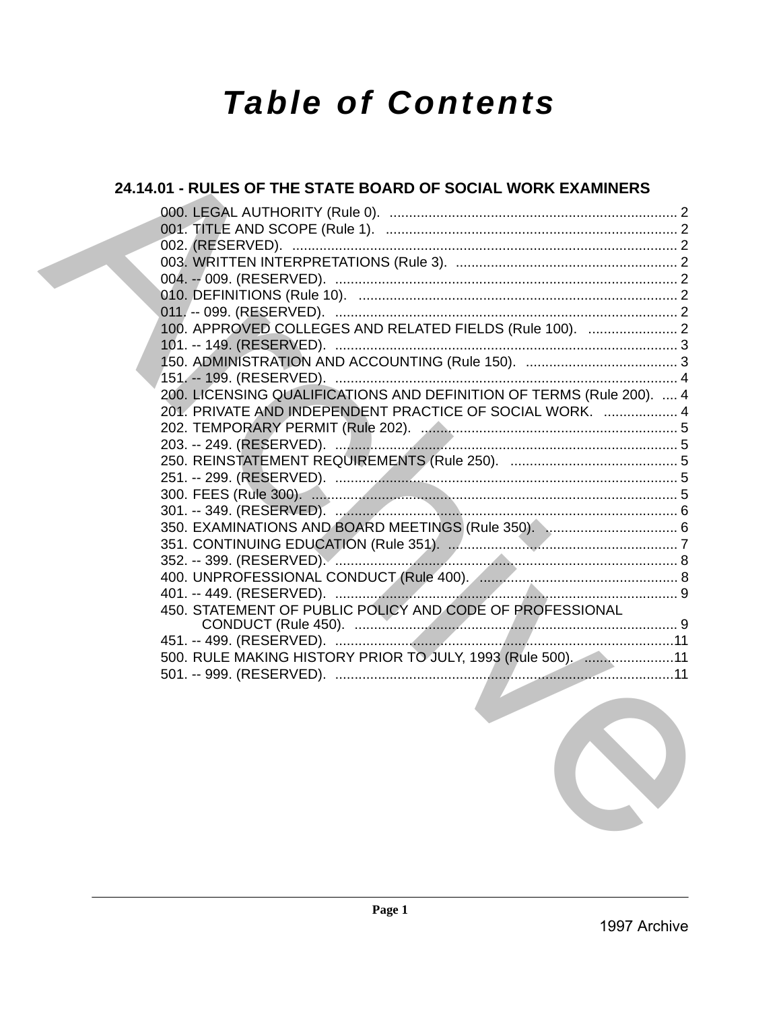# **Table of Contents**

# 24.14.01 - RULES OF THE STATE BOARD OF SOCIAL WORK EXAMINERS 100. APPROVED COLLEGES AND RELATED FIELDS (Rule 100). ....................... 2 200. LICENSING QUALIFICATIONS AND DEFINITION OF TERMS (Rule 200). .... 4 201. PRIVATE AND INDEPENDENT PRACTICE OF SOCIAL WORK. ................... 4 450. STATEMENT OF PUBLIC POLICY AND CODE OF PROFESSIONAL 500. RULE MAKING HISTORY PRIOR TO JULY, 1993 (Rule 500). ......................11

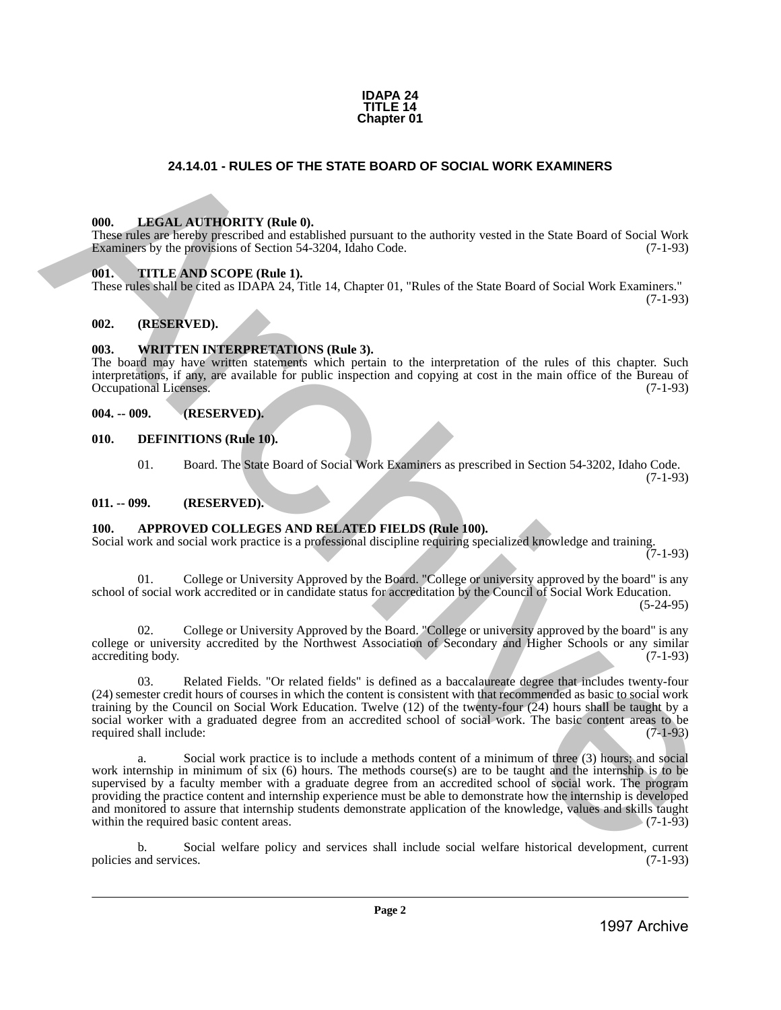

# **24.14.01 - RULES OF THE STATE BOARD OF SOCIAL WORK EXAMINERS**

#### <span id="page-1-1"></span>**000. LEGAL AUTHORITY (Rule 0).**

These rules are hereby prescribed and established pursuant to the authority vested in the State Board of Social Work Examiners by the provisions of Section 54-3204, Idaho Code. (7-1-93)

#### <span id="page-1-2"></span>**001. TITLE AND SCOPE (Rule 1).**

These rules shall be cited as IDAPA 24, Title 14, Chapter 01, "Rules of the State Board of Social Work Examiners." (7-1-93)

# <span id="page-1-3"></span>**002. (RESERVED).**

### <span id="page-1-4"></span>**003. WRITTEN INTERPRETATIONS (Rule 3).**

The board may have written statements which pertain to the interpretation of the rules of this chapter. Such interpretations, if any, are available for public inspection and copying at cost in the main office of the Bureau of Occupational Licenses.

#### <span id="page-1-5"></span>**004. -- 009. (RESERVED).**

- <span id="page-1-6"></span>**010. DEFINITIONS (Rule 10).**
	- 01. Board. The State Board of Social Work Examiners as prescribed in Section 54-3202, Idaho Code. (7-1-93)

# <span id="page-1-7"></span>**011. -- 099. (RESERVED).**

# <span id="page-1-8"></span>**100. APPROVED COLLEGES AND RELATED FIELDS (Rule 100).**

Social work and social work practice is a professional discipline requiring specialized knowledge and training.  $(7-1-93)$ 

01. College or University Approved by the Board. "College or university approved by the board" is any school of social work accredited or in candidate status for accreditation by the Council of Social Work Education.

(5-24-95)

02. College or University Approved by the Board. "College or university approved by the board" is any college or university accredited by the Northwest Association of Secondary and Higher Schools or any similar accrediting body. (7-1-93) accrediting body.

03. Related Fields. "Or related fields" is defined as a baccalaureate degree that includes twenty-four (24) semester credit hours of courses in which the content is consistent with that recommended as basic to social work training by the Council on Social Work Education. Twelve (12) of the twenty-four (24) hours shall be taught by a social worker with a graduated degree from an accredited school of social work. The basic content areas to be required shall include: (7-1-93) required shall include:

<span id="page-1-0"></span>a. Social work practice is to include a methods content of a minimum of three (3) hours; and social work internship in minimum of six (6) hours. The methods course(s) are to be taught and the internship is to be supervised by a faculty member with a graduate degree from an accredited school of social work. The program providing the practice content and internship experience must be able to demonstrate how the internship is developed and monitored to assure that internship students demonstrate application of the knowledge, values and skills taught within the required basic content areas. within the required basic content areas. **24.14.6)** - **RULES OF THE STATE BOARD OF SOCIAL WORK EXAMINERS**<br>
1998. **LINESE AT THORPHY (Reds)**<br> **Exaction** by the provision of Statistical parameter the nuclearly vested in the State Board of Social West<br> **Exaction** b

b. Social welfare policy and services shall include social welfare historical development, current policies and services. (7-1-93)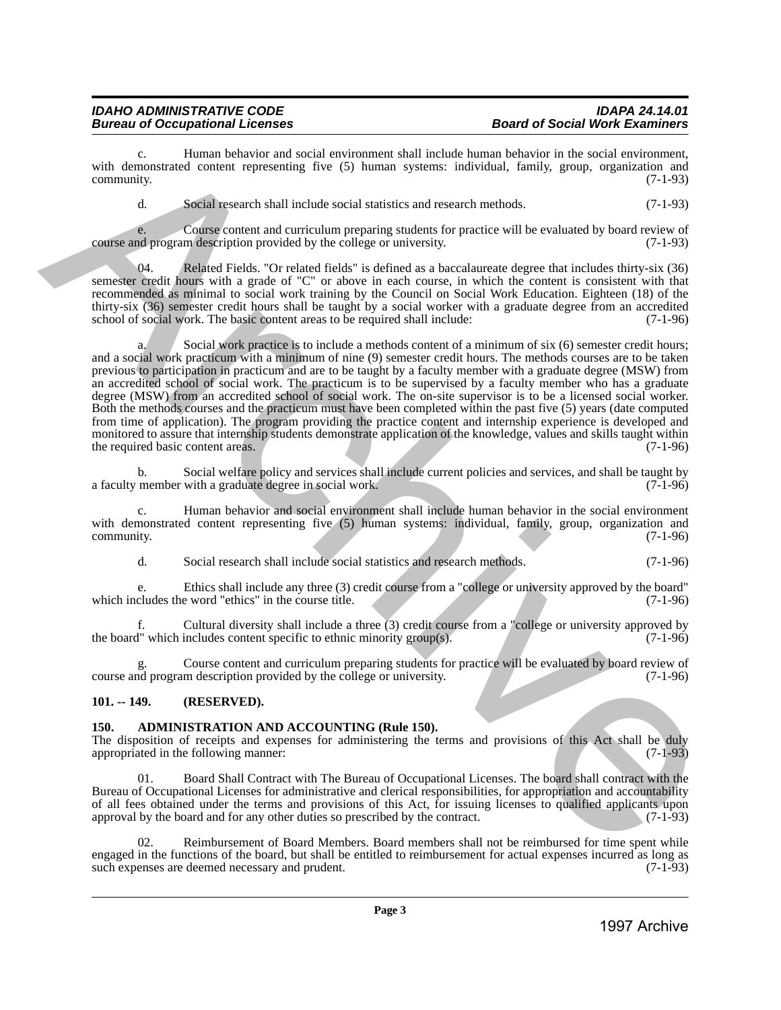#### *IDAHO ADMINISTRATIVE CODE IDAPA 24.14.01 Bureau of Occupational Licenses*

c. Human behavior and social environment shall include human behavior in the social environment, with demonstrated content representing five (5) human systems: individual, family, group, organization and community. (7-1-93) community. (7-1-93)

d. Social research shall include social statistics and research methods. (7-1-93)

e. Course content and curriculum preparing students for practice will be evaluated by board review of nd program description provided by the college or university. (7-1-93) course and program description provided by the college or university.

Related Fields. "Or related fields" is defined as a baccalaureate degree that includes thirty-six (36) semester credit hours with a grade of "C" or above in each course, in which the content is consistent with that recommended as minimal to social work training by the Council on Social Work Education. Eighteen (18) of the thirty-six (36) semester credit hours shall be taught by a social worker with a graduate degree from an accredited school of social work. The basic content areas to be required shall include: (7-1-96) school of social work. The basic content areas to be required shall include:

a. Social work practice is to include a methods content of a minimum of six (6) semester credit hours; and a social work practicum with a minimum of nine (9) semester credit hours. The methods courses are to be taken previous to participation in practicum and are to be taught by a faculty member with a graduate degree (MSW) from an accredited school of social work. The practicum is to be supervised by a faculty member who has a graduate degree (MSW) from an accredited school of social work. The on-site supervisor is to be a licensed social worker. Both the methods courses and the practicum must have been completed within the past five (5) years (date computed from time of application). The program providing the practice content and internship experience is developed and monitored to assure that internship students demonstrate application of the knowledge, values and skills taught within the required basic content areas. (7-1-96) the required basic content areas. with consistent and the same of the same of the same of the same of the same of the same of the same of the same of the same of the same of the same of the same of the same of the same of the same of the same of the same

b. Social welfare policy and services shall include current policies and services, and shall be taught by member with a graduate degree in social work. (7-1-96) a faculty member with a graduate degree in social work.

Human behavior and social environment shall include human behavior in the social environment with demonstrated content representing five (5) human systems: individual, family, group, organization and community. (7-1-96)  $\epsilon$  (7-1-96) (7-1-96)

d. Social research shall include social statistics and research methods. (7-1-96)

e. Ethics shall include any three (3) credit course from a "college or university approved by the board" which includes the word "ethics" in the course title.

f. Cultural diversity shall include a three (3) credit course from a "college or university approved by  $1$ " which includes content specific to ethnic minority group(s).  $(7-1-96)$ the board" which includes content specific to ethnic minority group(s).

g. Course content and curriculum preparing students for practice will be evaluated by board review of course and program description provided by the college or university. (7-1-96)

# <span id="page-2-0"></span>**101. -- 149. (RESERVED).**

# <span id="page-2-1"></span>**150. ADMINISTRATION AND ACCOUNTING (Rule 150).**

The disposition of receipts and expenses for administering the terms and provisions of this Act shall be duly appropriated in the following manner: (7-1-93)

01. Board Shall Contract with The Bureau of Occupational Licenses. The board shall contract with the Bureau of Occupational Licenses for administrative and clerical responsibilities, for appropriation and accountability of all fees obtained under the terms and provisions of this Act, for issuing licenses to qualified applicants upon approval by the board and for any other duties so prescribed by the contract. approval by the board and for any other duties so prescribed by the contract.

02. Reimbursement of Board Members. Board members shall not be reimbursed for time spent while engaged in the functions of the board, but shall be entitled to reimbursement for actual expenses incurred as long as such expenses are deemed necessary and prudent. (7-1-93) such expenses are deemed necessary and prudent.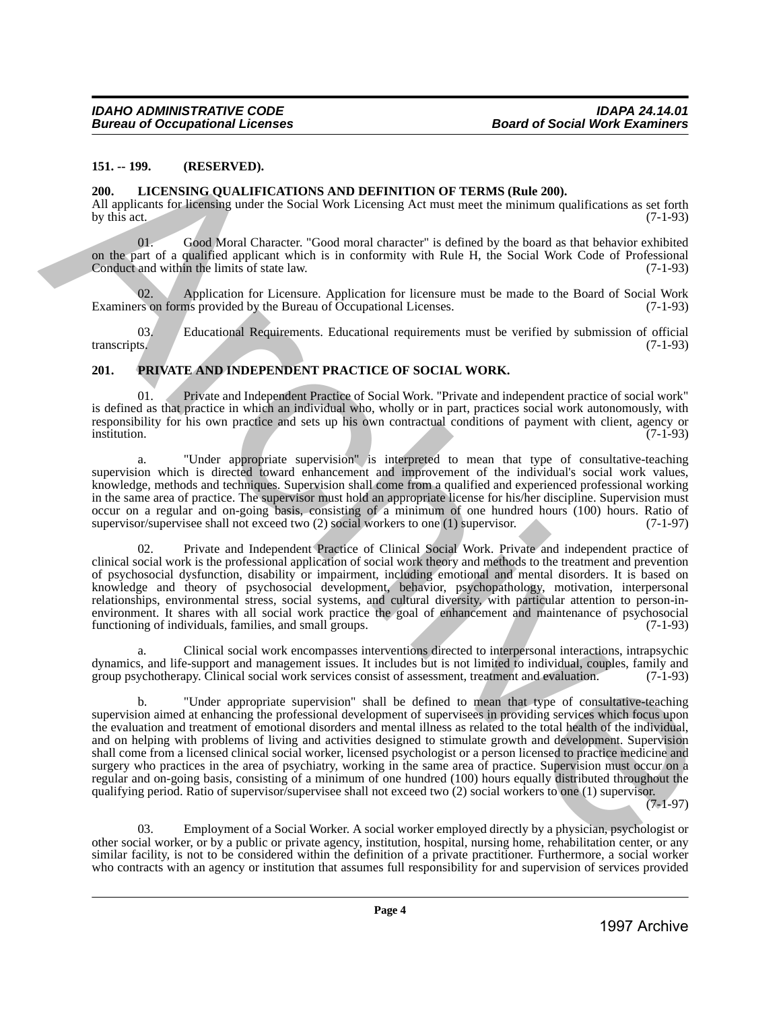#### <span id="page-3-0"></span>**151. -- 199. (RESERVED).**

#### <span id="page-3-1"></span>**200. LICENSING QUALIFICATIONS AND DEFINITION OF TERMS (Rule 200).**

All applicants for licensing under the Social Work Licensing Act must meet the minimum qualifications as set forth by this act. (7-1-93) by this act.  $(7-1-93)$ 

Good Moral Character. "Good moral character" is defined by the board as that behavior exhibited on the part of a qualified applicant which is in conformity with Rule H, the Social Work Code of Professional Conduct and within the limits of state law. (7-1-93)

Application for Licensure. Application for licensure must be made to the Board of Social Work ms provided by the Bureau of Occupational Licenses. (7-1-93) Examiners on forms provided by the Bureau of Occupational Licenses.

03. Educational Requirements. Educational requirements must be verified by submission of official ts. (7-1-93) transcripts. (7-1-93)

#### <span id="page-3-2"></span>**201. PRIVATE AND INDEPENDENT PRACTICE OF SOCIAL WORK.**

01. Private and Independent Practice of Social Work. "Private and independent practice of social work" is defined as that practice in which an individual who, wholly or in part, practices social work autonomously, with responsibility for his own practice and sets up his own contractual conditions of payment with client, agency or institution. institution. (7-1-93)

a. "Under appropriate supervision" is interpreted to mean that type of consultative-teaching supervision which is directed toward enhancement and improvement of the individual's social work values, knowledge, methods and techniques. Supervision shall come from a qualified and experienced professional working in the same area of practice. The supervisor must hold an appropriate license for his/her discipline. Supervision must occur on a regular and on-going basis, consisting of a minimum of one hundred hours (100) hours. Ratio of supervisor/supervises shall not exceed two (2) social workers to one (1) supervisor. (7-1-97) supervisor/supervisee shall not exceed two  $(2)$  social workers to one  $(1)$  supervisor.

02. Private and Independent Practice of Clinical Social Work. Private and independent practice of clinical social work is the professional application of social work theory and methods to the treatment and prevention of psychosocial dysfunction, disability or impairment, including emotional and mental disorders. It is based on knowledge and theory of psychosocial development, behavior, psychopathology, motivation, interpersonal relationships, environmental stress, social systems, and cultural diversity, with particular attention to person-inenvironment. It shares with all social work practice the goal of enhancement and maintenance of psychosocial functioning of individuals, families, and small groups. (7-1-93) functioning of individuals, families, and small groups.

a. Clinical social work encompasses interventions directed to interpersonal interactions, intrapsychic dynamics, and life-support and management issues. It includes but is not limited to individual, couples, family and group psychotherapy. Clinical social work services consist of assessment, treatment and evaluation. (7-1-9 group psychotherapy. Clinical social work services consist of assessment, treatment and evaluation.

b. "Under appropriate supervision" shall be defined to mean that type of consultative-teaching supervision aimed at enhancing the professional development of supervisees in providing services which focus upon the evaluation and treatment of emotional disorders and mental illness as related to the total health of the individual, and on helping with problems of living and activities designed to stimulate growth and development. Supervision shall come from a licensed clinical social worker, licensed psychologist or a person licensed to practice medicine and surgery who practices in the area of psychiatry, working in the same area of practice. Supervision must occur on a regular and on-going basis, consisting of a minimum of one hundred (100) hours equally distributed throughout the qualifying period. Ratio of supervisor/supervisee shall not exceed two (2) social workers to one (1) supervisor. 151. – 199. (RESERVED, 2000 IDENTIFYTHON OF TERMS (Role 200).<br>
2000. LICENSING QUALIFICATIONS AND DEPINTHON OF TERMS (Role 200).<br>
2016 IDENTIFYTHON CONTENT (ROLE OF OCUMENTATION CONTENT (ROLE OF OCUMENTATION CONTENT (PASS

 $(7-1-97)$ 

03. Employment of a Social Worker. A social worker employed directly by a physician, psychologist or other social worker, or by a public or private agency, institution, hospital, nursing home, rehabilitation center, or any similar facility, is not to be considered within the definition of a private practitioner. Furthermore, a social worker who contracts with an agency or institution that assumes full responsibility for and supervision of services provided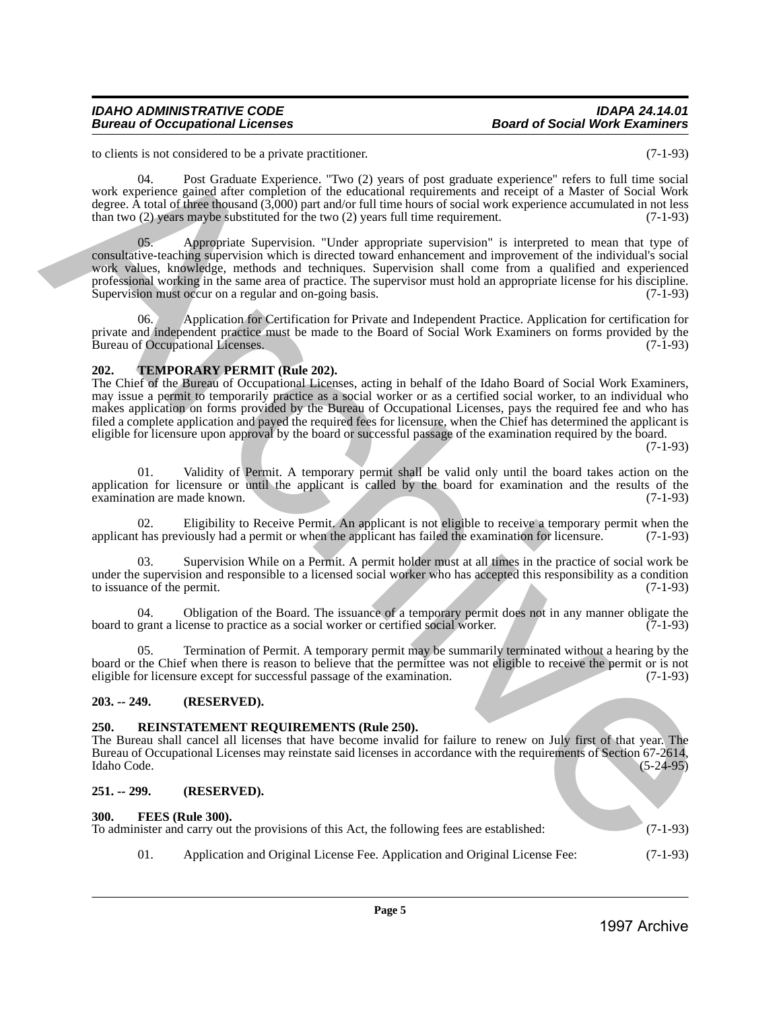#### *IDAHO ADMINISTRATIVE CODE IDAPA 24.14.01 Bureau of Occupational Licenses*

to clients is not considered to be a private practitioner. (7-1-93)

 04. Post Graduate Experience. "Two (2) years of post graduate experience" refers to full time social work experience gained after completion of the educational requirements and receipt of a Master of Social Work degree. A total of three thousand (3,000) part and/or full time hours of social work experience accumulated in not less than two (2) years maybe substituted for the two (2) years full time requirement. (7-1-93)

Appropriate Supervision. "Under appropriate supervision" is interpreted to mean that type of consultative-teaching supervision which is directed toward enhancement and improvement of the individual's social work values, knowledge, methods and techniques. Supervision shall come from a qualified and experienced professional working in the same area of practice. The supervisor must hold an appropriate license for his discipline.<br>Supervision must occur on a regular and on-going basis. (7-1-93) Supervision must occur on a regular and on-going basis. Is the considered by the period point of period point of the state of the considered by  $G = 390$ <br>
Note that the considered by the considered by the considered by the considered by the considered by the considered by the

06. Application for Certification for Private and Independent Practice. Application for certification for private and independent practice must be made to the Board of Social Work Examiners on forms provided by the Bureau of Occupational Licenses. (7-1-93) Bureau of Occupational Licenses.

### <span id="page-4-0"></span>**202. TEMPORARY PERMIT (Rule 202).**

The Chief of the Bureau of Occupational Licenses, acting in behalf of the Idaho Board of Social Work Examiners, may issue a permit to temporarily practice as a social worker or as a certified social worker, to an individual who makes application on forms provided by the Bureau of Occupational Licenses, pays the required fee and who has filed a complete application and payed the required fees for licensure, when the Chief has determined the applicant is eligible for licensure upon approval by the board or successful passage of the examination required by the board.

(7-1-93)

01. Validity of Permit. A temporary permit shall be valid only until the board takes action on the application for licensure or until the applicant is called by the board for examination and the results of the examination are made known.  $(7-1-93)$ examination are made known.

02. Eligibility to Receive Permit. An applicant is not eligible to receive a temporary permit when the thas previously had a permit or when the applicant has failed the examination for licensure. (7-1-93) applicant has previously had a permit or when the applicant has failed the examination for licensure.

Supervision While on a Permit. A permit holder must at all times in the practice of social work be under the supervision and responsible to a licensed social worker who has accepted this responsibility as a condition to issuance of the permit. (7-1-93) to issuance of the permit.

04. Obligation of the Board. The issuance of a temporary permit does not in any manner obligate the grant a license to practice as a social worker or certified social worker. (7-1-93) board to grant a license to practice as a social worker or certified social worker.

05. Termination of Permit. A temporary permit may be summarily terminated without a hearing by the board or the Chief when there is reason to believe that the permittee was not eligible to receive the permit or is not eligible for licensure except for successful passage of the examination. (7-1-93)

# <span id="page-4-1"></span>**203. -- 249. (RESERVED).**

#### <span id="page-4-2"></span>**250. REINSTATEMENT REQUIREMENTS (Rule 250).**

The Bureau shall cancel all licenses that have become invalid for failure to renew on July first of that year. The Bureau of Occupational Licenses may reinstate said licenses in accordance with the requirements of Section 67-2614, Idaho Code. (5-24-95) Idaho Code. (5-24-95)

## <span id="page-4-3"></span>**251. -- 299. (RESERVED).**

#### <span id="page-4-4"></span>**300. FEES (Rule 300).**

To administer and carry out the provisions of this Act, the following fees are established: (7-1-93)

01. Application and Original License Fee. Application and Original License Fee: (7-1-93)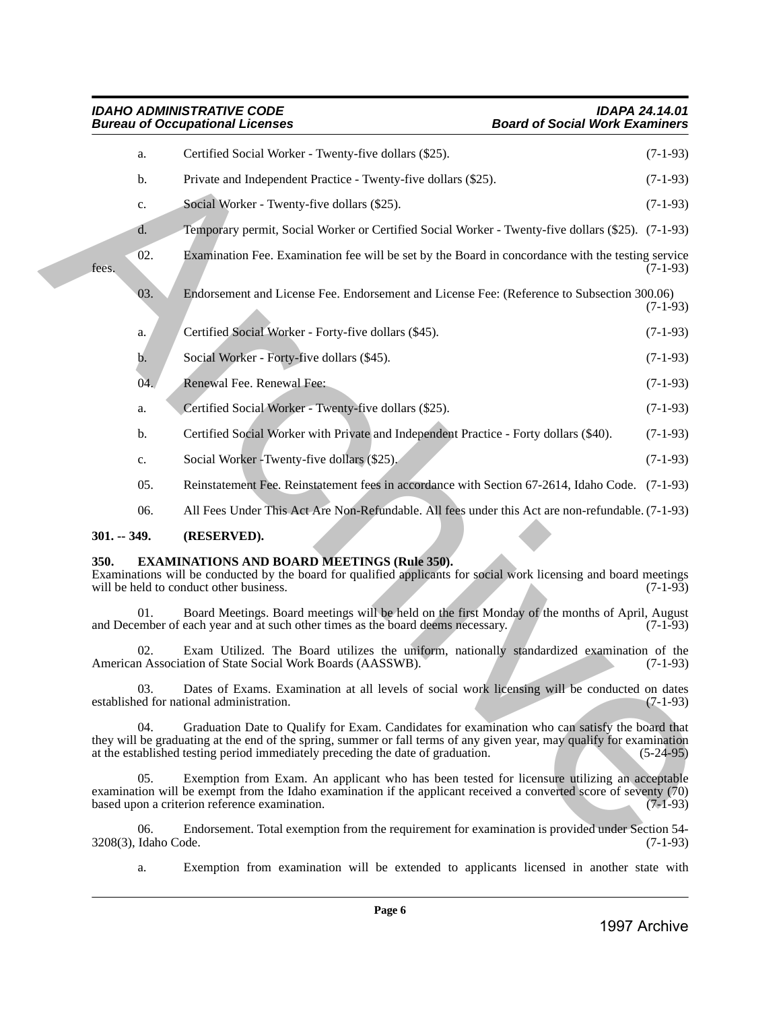# <span id="page-5-0"></span>**301. -- 349. (RESERVED).**

# <span id="page-5-1"></span>**350. EXAMINATIONS AND BOARD MEETINGS (Rule 350).**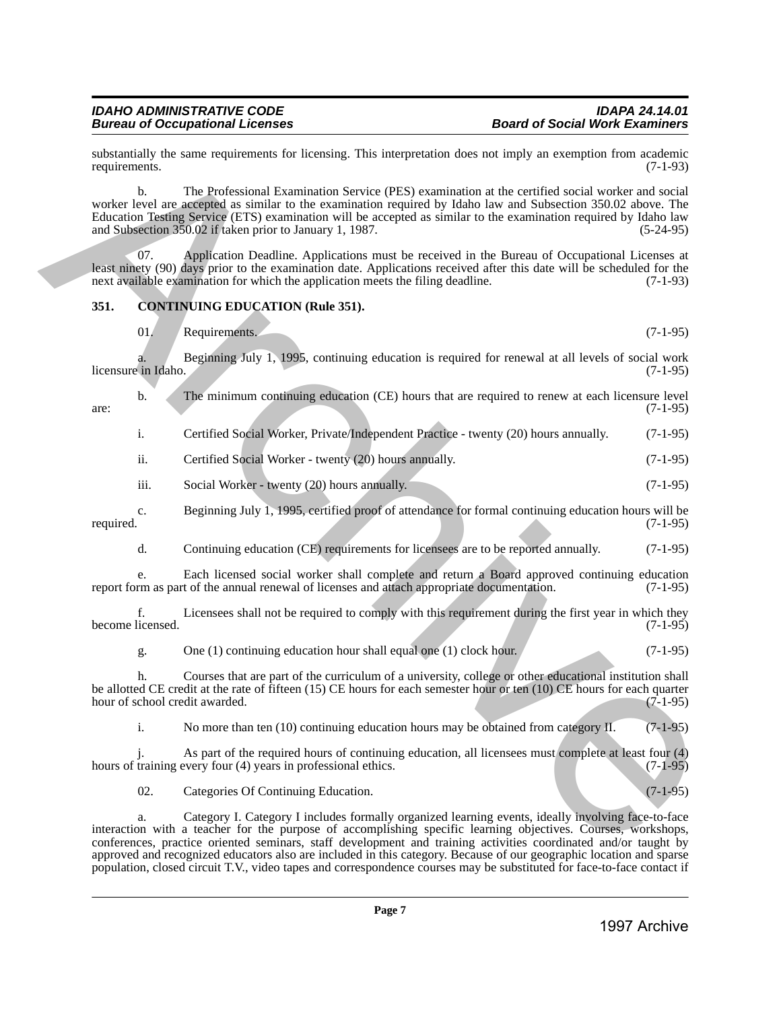substantially the same requirements for licensing. This interpretation does not imply an exemption from academic requirements. (7-1-93) requirements. (7-1-93)

b. The Professional Examination Service (PES) examination at the certified social worker and social worker level are accepted as similar to the examination required by Idaho law and Subsection 350.02 above. The Education Testing Service (ETS) examination will be accepted as similar to the examination required by Idaho law and Subsection 350.02 if taken prior to January 1, 1987.

07. Application Deadline. Applications must be received in the Bureau of Occupational Licenses at least ninety (90) days prior to the examination date. Applications received after this date will be scheduled for the next available examination for which the application meets the filing deadline. (7-1-93) next available examination for which the application meets the filing deadline.

# <span id="page-6-0"></span>**351. CONTINUING EDUCATION (Rule 351).**

01. Requirements. (7-1-95)

a. Beginning July 1, 1995, continuing education is required for renewal at all levels of social work licensure in Idaho.

b. The minimum continuing education (CE) hours that are required to renew at each licensure level (7-1-95)  $\frac{1}{2}$  are: (7-1-95)

|  |  |  | Certified Social Worker, Private/Independent Practice - twenty (20) hours annually. |  | $(7-1-95)$ |
|--|--|--|-------------------------------------------------------------------------------------|--|------------|
|--|--|--|-------------------------------------------------------------------------------------|--|------------|

ii. Certified Social Worker - twenty (20) hours annually. (7-1-95)

- iii. Social Worker twenty (20) hours annually. (7-1-95)
- c. Beginning July 1, 1995, certified proof of attendance for formal continuing education hours will be required. (7-1-95)
	- d. Continuing education (CE) requirements for licensees are to be reported annually. (7-1-95)

e. Each licensed social worker shall complete and return a Board approved continuing education rm as part of the annual renewal of licenses and attach appropriate documentation. (7-1-95) report form as part of the annual renewal of licenses and attach appropriate documentation.

f. Licensees shall not be required to comply with this requirement during the first year in which they become licensed.

g. One (1) continuing education hour shall equal one (1) clock hour. (7-1-95)

h. Courses that are part of the curriculum of a university, college or other educational institution shall be allotted CE credit at the rate of fifteen (15) CE hours for each semester hour or ten (10) CE hours for each quarter hour of school credit awarded. (7-1-95) hour of school credit awarded.

i. No more than ten (10) continuing education hours may be obtained from category II. (7-1-95)

As part of the required hours of continuing education, all licensees must complete at least four (4) years in professional ethics. (7-1-95) hours of training every four  $(4)$  years in professional ethics.

02. Categories Of Continuing Education. (7-1-95)

a. Category I. Category I includes formally organized learning events, ideally involving face-to-face interaction with a teacher for the purpose of accomplishing specific learning objectives. Courses, workshops, conferences, practice oriented seminars, staff development and training activities coordinated and/or taught by approved and recognized educators also are included in this category. Because of our geographic location and sparse population, closed circuit T.V., video tapes and correspondence courses may be substituted for face-to-face contact if Solutions) the same requestres for her energy This interpretation does not angle) an exception for  $(1-1/9)$ <br>
The method of the proposition and the same regulation of the same regulation of the same regulation of the same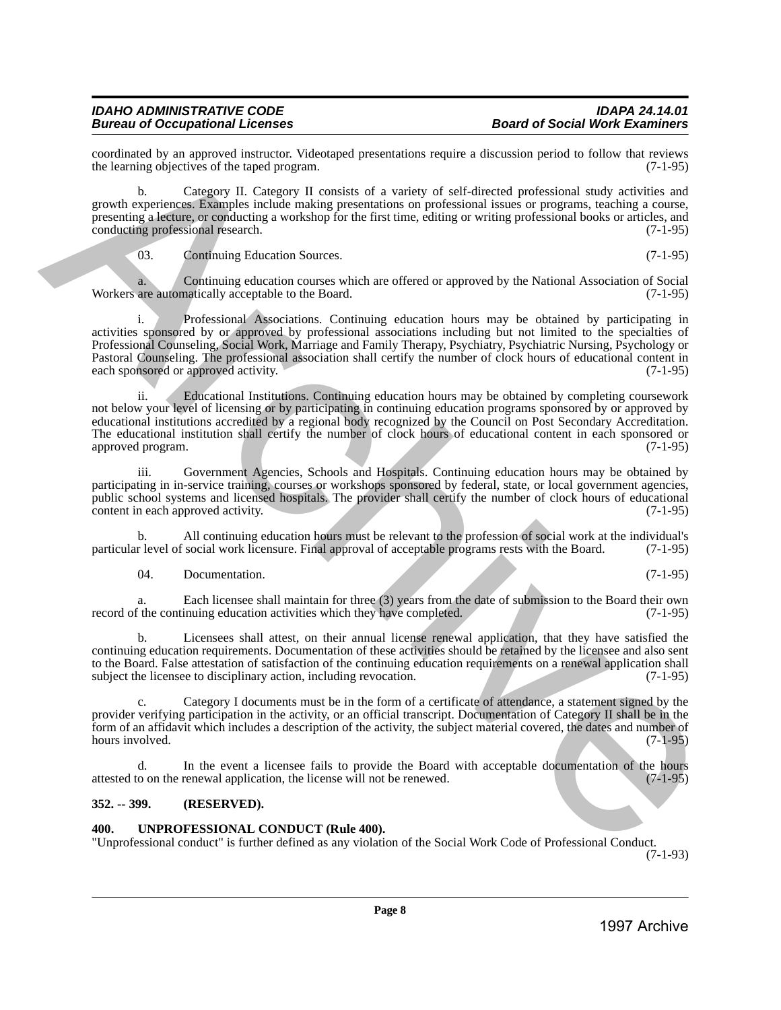coordinated by an approved instructor. Videotaped presentations require a discussion period to follow that reviews the learning objectives of the taped program. the learning objectives of the taped program.

b. Category II. Category II consists of a variety of self-directed professional study activities and growth experiences. Examples include making presentations on professional issues or programs, teaching a course, presenting a lecture, or conducting a workshop for the first time, editing or writing professional books or articles, and conducting professional research. (7-1-95) conducting professional research.

03. Continuing Education Sources. (7-1-95)

a. Continuing education courses which are offered or approved by the National Association of Social are automatically acceptable to the Board. (7-1-95) Workers are automatically acceptable to the Board.

Professional Associations. Continuing education hours may be obtained by participating in activities sponsored by or approved by professional associations including but not limited to the specialties of Professional Counseling, Social Work, Marriage and Family Therapy, Psychiatry, Psychiatric Nursing, Psychology or Pastoral Counseling. The professional association shall certify the number of clock hours of educational content in each sponsored or approved activity. 1997 Constraint by an approximate the state of the state of the state of the state of the state of the state of the state of the state of the state of the state of the state of the state of the state of the state of the

ii. Educational Institutions. Continuing education hours may be obtained by completing coursework not below your level of licensing or by participating in continuing education programs sponsored by or approved by educational institutions accredited by a regional body recognized by the Council on Post Secondary Accreditation. The educational institution shall certify the number of clock hours of educational content in each sponsored or approved program. (7-1-95)

iii. Government Agencies, Schools and Hospitals. Continuing education hours may be obtained by participating in in-service training, courses or workshops sponsored by federal, state, or local government agencies, public school systems and licensed hospitals. The provider shall certify the number of clock hours of educational content in each approved activity. (7-1-95) content in each approved activity.

b. All continuing education hours must be relevant to the profession of social work at the individual's r level of social work licensure. Final approval of acceptable programs rests with the Board. (7-1-95) particular level of social work licensure. Final approval of acceptable programs rests with the Board.

04. Documentation. (7-1-95)

a. Each licensee shall maintain for three (3) years from the date of submission to the Board their own<br>f the continuing education activities which they have completed. (7-1-95) record of the continuing education activities which they have completed.

b. Licensees shall attest, on their annual license renewal application, that they have satisfied the continuing education requirements. Documentation of these activities should be retained by the licensee and also sent to the Board. False attestation of satisfaction of the continuing education requirements on a renewal application shall subject the licensee to disciplinary action, including revocation. (7-1-95)

c. Category I documents must be in the form of a certificate of attendance, a statement signed by the provider verifying participation in the activity, or an official transcript. Documentation of Category II shall be in the form of an affidavit which includes a description of the activity, the subject material covered, the dates and number of hours involved.

d. In the event a licensee fails to provide the Board with acceptable documentation of the hours to on the renewal application, the license will not be renewed. (7-1-95) attested to on the renewal application, the license will not be renewed.

# <span id="page-7-0"></span>**352. -- 399. (RESERVED).**

# <span id="page-7-1"></span>**400. UNPROFESSIONAL CONDUCT (Rule 400).**

"Unprofessional conduct" is further defined as any violation of the Social Work Code of Professional Conduct.

(7-1-93)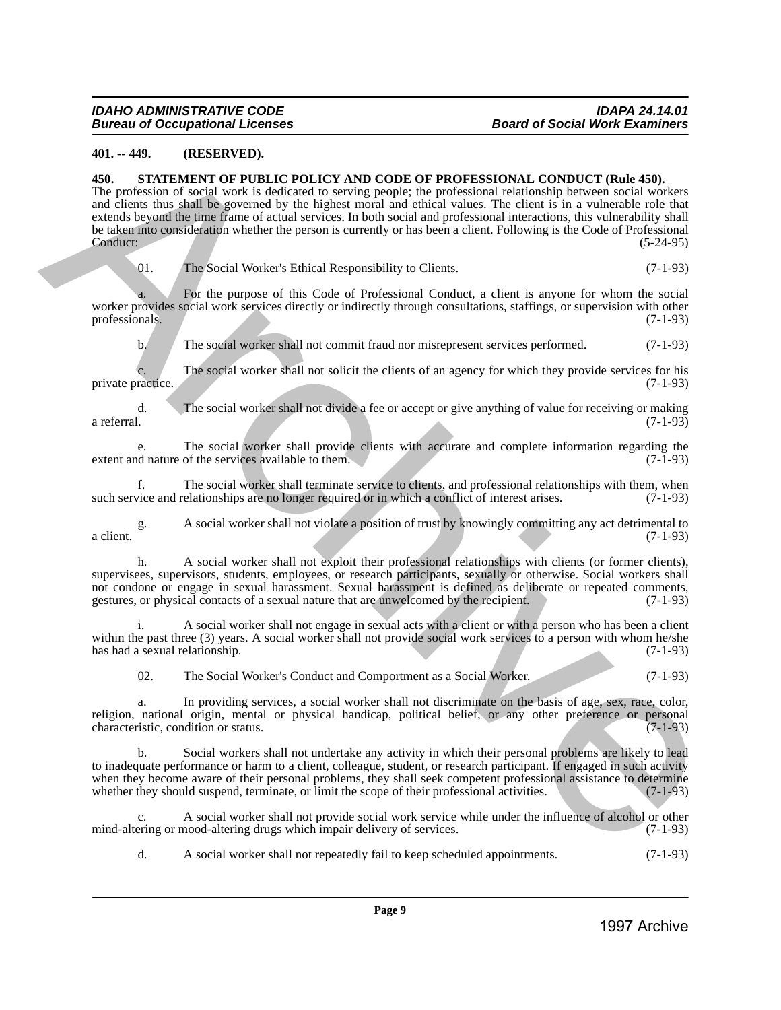# <span id="page-8-0"></span>**401. -- 449. (RESERVED).**

#### <span id="page-8-1"></span>**450. STATEMENT OF PUBLIC POLICY AND CODE OF PROFESSIONAL CONDUCT (Rule 450).**

The profession of social work is dedicated to serving people; the professional relationship between social workers and clients thus shall be governed by the highest moral and ethical values. The client is in a vulnerable role that extends beyond the time frame of actual services. In both social and professional interactions, this vulnerability shall be taken into consideration whether the person is currently or has been a client. Following is the Code of Professional Conduct: (5-24-95) **49.** 48. **GENERAL STEV ARCHIVE ARCHIVE ARCHIVE ARCHIVE ARCHIVE CONDUCT (Rele 49.)**<br>
1997 ARCHIVE POLICY AND CODE OF PROFESSIONAL CONDUCT (Rele 49.)<br>
The protection of event archive Archive Archive Archive Archive Archive

01. The Social Worker's Ethical Responsibility to Clients. (7-1-93)

a. For the purpose of this Code of Professional Conduct, a client is anyone for whom the social worker provides social work services directly or indirectly through consultations, staffings, or supervision with other professionals. (7-1-93) professionals. (7-1-93)

b. The social worker shall not commit fraud nor misrepresent services performed. (7-1-93)

c. The social worker shall not solicit the clients of an agency for which they provide services for his private practice. (7-1-93)

d. The social worker shall not divide a fee or accept or give anything of value for receiving or making a referral. (7-1-93)

e. The social worker shall provide clients with accurate and complete information regarding the extent and nature of the services available to them. (7-1-93)

f. The social worker shall terminate service to clients, and professional relationships with them, when vice and relationships are no longer required or in which a conflict of interest arises. (7-1-93) such service and relationships are no longer required or in which a conflict of interest arises.

g. A social worker shall not violate a position of trust by knowingly committing any act detrimental to a client.  $(7-1-93)$ 

h. A social worker shall not exploit their professional relationships with clients (or former clients), supervisees, supervisors, students, employees, or research participants, sexually or otherwise. Social workers shall not condone or engage in sexual harassment. Sexual harassment is defined as deliberate or repeated comments, gestures, or physical contacts of a sexual nature that are unwelcomed by the recipient. (7-1-93) gestures, or physical contacts of a sexual nature that are unwelcomed by the recipient.

A social worker shall not engage in sexual acts with a client or with a person who has been a client within the past three (3) years. A social worker shall not provide social work services to a person with whom he/she has had a sexual relationship.  $(7-1-93)$ has had a sexual relationship.

02. The Social Worker's Conduct and Comportment as a Social Worker. (7-1-93)

a. In providing services, a social worker shall not discriminate on the basis of age, sex, race, color, religion, national origin, mental or physical handicap, political belief, or any other preference or personal characteristic condition or status. characteristic, condition or status.

b. Social workers shall not undertake any activity in which their personal problems are likely to lead to inadequate performance or harm to a client, colleague, student, or research participant. If engaged in such activity when they become aware of their personal problems, they shall seek competent professional assistance to determine<br>whether they should suspend, terminate, or limit the scope of their professional activities. whether they should suspend, terminate, or limit the scope of their professional activities.

c. A social worker shall not provide social work service while under the influence of alcohol or other mind-altering or mood-altering drugs which impair delivery of services.

d. A social worker shall not repeatedly fail to keep scheduled appointments. (7-1-93)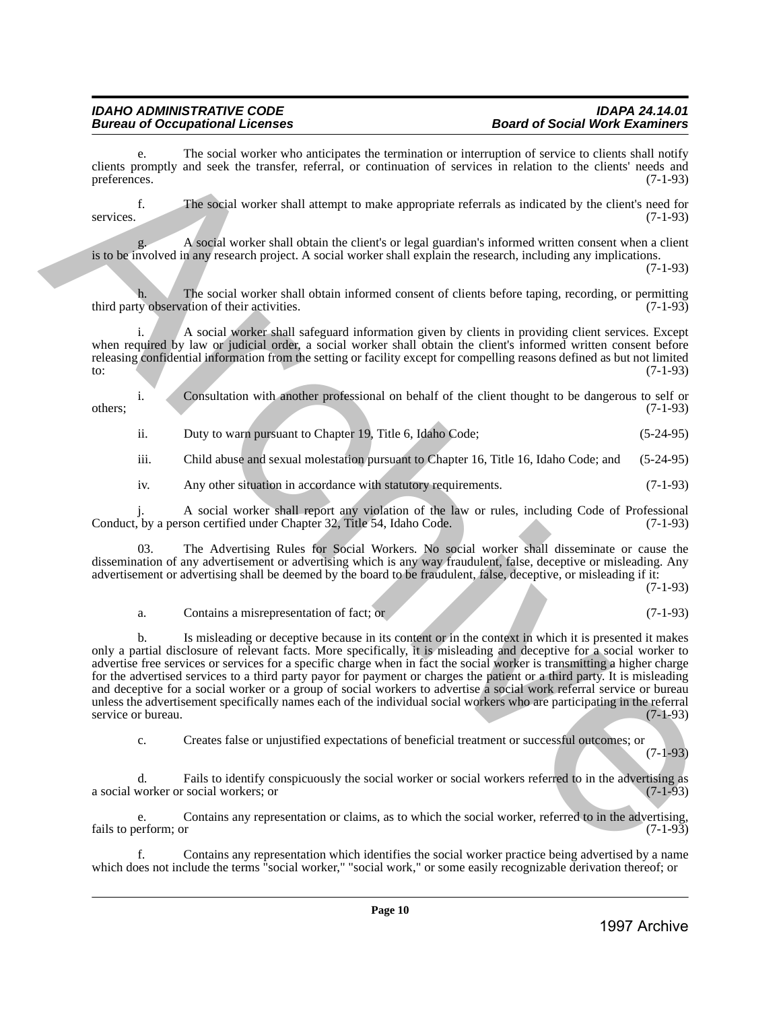The social worker who anticipates the termination or interruption of service to clients shall notify clients promptly and seek the transfer, referral, or continuation of services in relation to the clients' needs and preferences. (7-1-93)

f. The social worker shall attempt to make appropriate referrals as indicated by the client's need for services. (7-1-93)

g. A social worker shall obtain the client's or legal guardian's informed written consent when a client is to be involved in any research project. A social worker shall explain the research, including any implications.

(7-1-93)

The social worker shall obtain informed consent of clients before taping, recording, or permitting ation of their activities.  $(7-1-93)$ third party observation of their activities.

i. A social worker shall safeguard information given by clients in providing client services. Except when required by law or judicial order, a social worker shall obtain the client's informed written consent before releasing confidential information from the setting or facility except for compelling reasons defined as but not limited to: (7-1-93)  $(7-1-93)$ 

i. Consultation with another professional on behalf of the client thought to be dangerous to self or others; (7-1-93)

ii. Duty to warn pursuant to Chapter 19, Title 6, Idaho Code; (5-24-95)

iii. Child abuse and sexual molestation pursuant to Chapter 16, Title 16, Idaho Code; and (5-24-95)

iv. Any other situation in accordance with statutory requirements. (7-1-93)

j. A social worker shall report any violation of the law or rules, including Code of Professional Conduct, by a person certified under Chapter 32, Title 54, Idaho Code.

03. The Advertising Rules for Social Workers. No social worker shall disseminate or cause the dissemination of any advertisement or advertising which is any way fraudulent, false, deceptive or misleading. Any advertisement or advertising shall be deemed by the board to be fraudulent, false, deceptive, or misleading if it:

(7-1-93)

(7-1-93)

# a. Contains a misrepresentation of fact; or (7-1-93)

b. Is misleading or deceptive because in its content or in the context in which it is presented it makes only a partial disclosure of relevant facts. More specifically, it is misleading and deceptive for a social worker to advertise free services or services for a specific charge when in fact the social worker is transmitting a higher charge for the advertised services to a third party payor for payment or charges the patient or a third party. It is misleading and deceptive for a social worker or a group of social workers to advertise a social work referral service or bureau unless the advertisement specifically names each of the individual social workers who are participating in the referral service or bureau. (7-1-93) cleare the spacing that we have an interesting to the numeristic state interesting of the spacing of the spacing of the spacing of the spacing of the spacing of the spacing of the spacing of the spacing of the spacing of

c. Creates false or unjustified expectations of beneficial treatment or successful outcomes; or

d. Fails to identify conspicuously the social worker or social workers referred to in the advertising as a social worker or social workers; or

e. Contains any representation or claims, as to which the social worker, referred to in the advertising, erform; or fails to perform; or

f. Contains any representation which identifies the social worker practice being advertised by a name which does not include the terms "social worker," "social work," or some easily recognizable derivation thereof; or